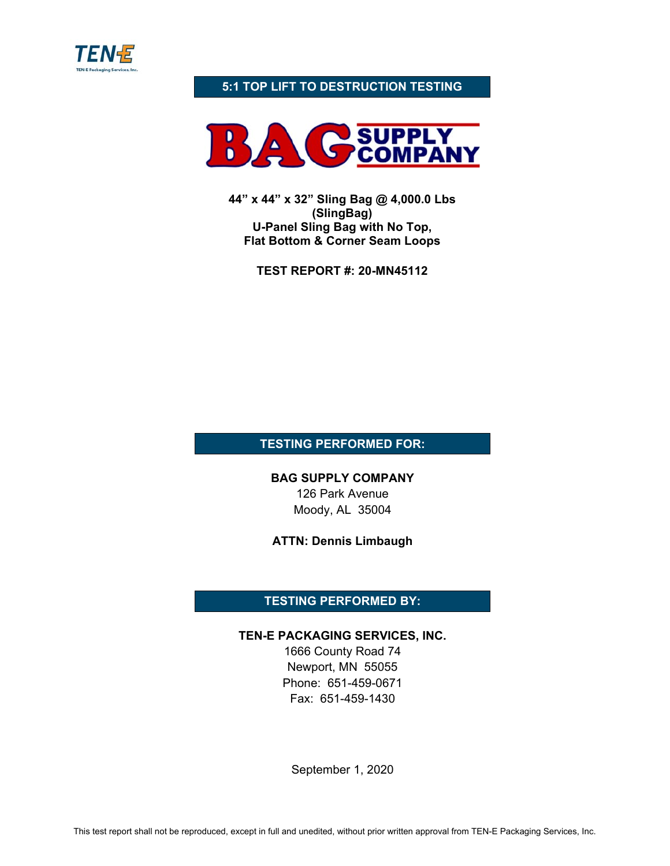

## **5:1 TOP LIFT TO DESTRUCTION TESTING**



**44" x 44" x 32" Sling Bag @ 4,000.0 Lbs (SlingBag) U-Panel Sling Bag with No Top, Flat Bottom & Corner Seam Loops** 

**TEST REPORT #: 20-MN45112** 

**TESTING PERFORMED FOR:** 

**BAG SUPPLY COMPANY**  126 Park Avenue Moody, AL 35004

**ATTN: Dennis Limbaugh** 

# **TESTING PERFORMED BY:**

### **TEN-E PACKAGING SERVICES, INC.**

1666 County Road 74 Newport, MN 55055 Phone: 651-459-0671 Fax: 651-459-1430

September 1, 2020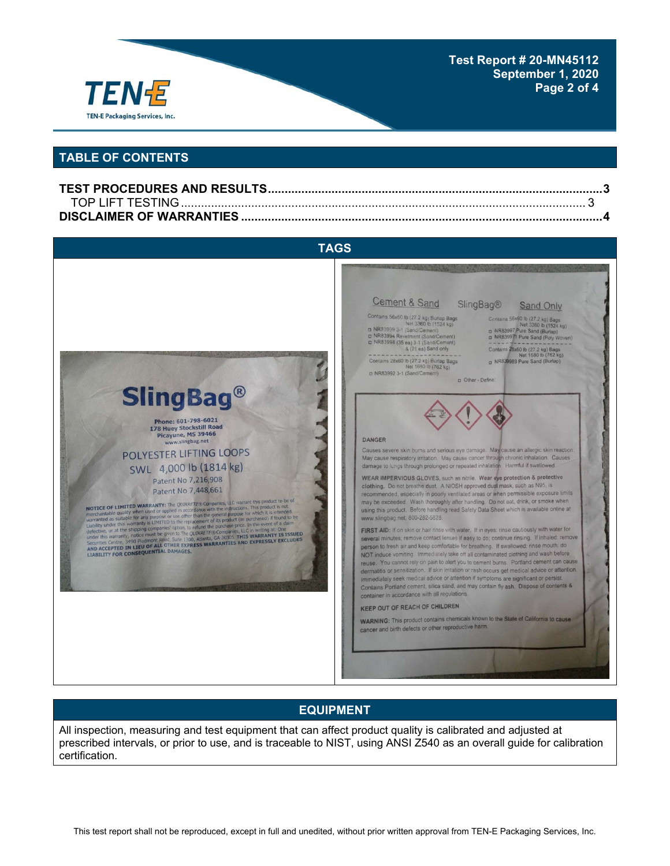

#### **Test Report # 20-MN45112 September 1, 2020 Page 2 of 4**

## **TABLE OF CONTENTS**



### **EQUIPMENT**

All inspection, measuring and test equipment that can affect product quality is calibrated and adjusted at prescribed intervals, or prior to use, and is traceable to NIST, using ANSI Z540 as an overall guide for calibration certification.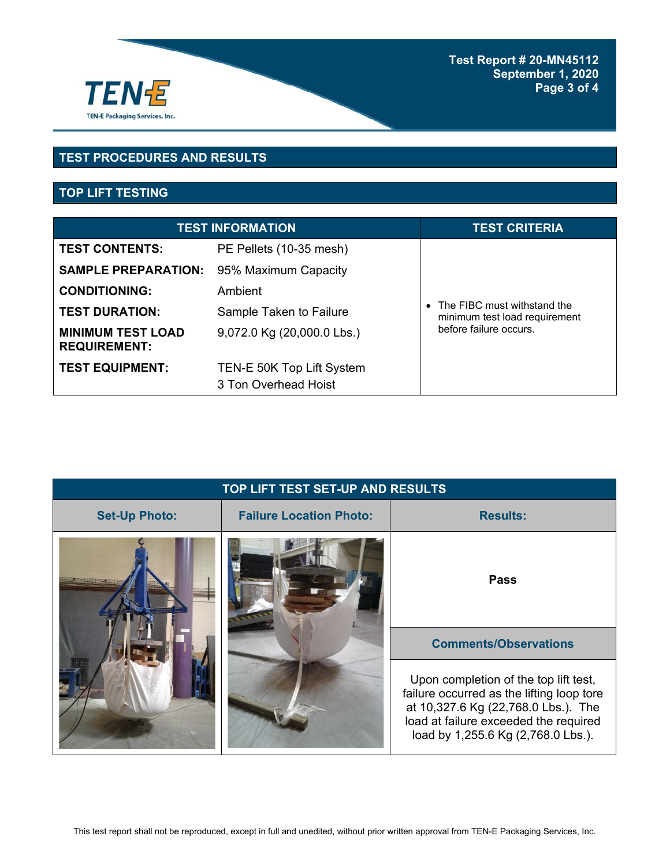

# **TEST PROCEDURES AND RESULTS**

# **TOP LIFT TESTING**

| <b>TEST INFORMATION</b>                         |                                                   | <b>TEST CRITERIA</b>                                                                     |
|-------------------------------------------------|---------------------------------------------------|------------------------------------------------------------------------------------------|
| <b>TEST CONTENTS:</b>                           | PE Pellets (10-35 mesh)                           |                                                                                          |
| <b>SAMPLE PREPARATION:</b>                      | 95% Maximum Capacity                              |                                                                                          |
| <b>CONDITIONING:</b>                            | Ambient                                           |                                                                                          |
| <b>TEST DURATION:</b>                           | Sample Taken to Failure                           | • The FIBC must withstand the<br>minimum test load requirement<br>before failure occurs. |
| <b>MINIMUM TEST LOAD</b><br><b>REQUIREMENT:</b> | 9,072.0 Kg (20,000.0 Lbs.)                        |                                                                                          |
| <b>TEST EQUIPMENT:</b>                          | TEN-E 50K Top Lift System<br>3 Ton Overhead Hoist |                                                                                          |

| TOP LIFT TEST SET-UP AND RESULTS |                                                                                                                                                                                                          |                 |  |
|----------------------------------|----------------------------------------------------------------------------------------------------------------------------------------------------------------------------------------------------------|-----------------|--|
| <b>Set-Up Photo:</b>             | <b>Failure Location Photo:</b>                                                                                                                                                                           | <b>Results:</b> |  |
|                                  | <b>Pass</b>                                                                                                                                                                                              |                 |  |
|                                  | <b>Comments/Observations</b>                                                                                                                                                                             |                 |  |
|                                  | Upon completion of the top lift test,<br>failure occurred as the lifting loop tore<br>at 10,327.6 Kg (22,768.0 Lbs.). The<br>load at failure exceeded the required<br>load by 1,255.6 Kg (2,768.0 Lbs.). |                 |  |